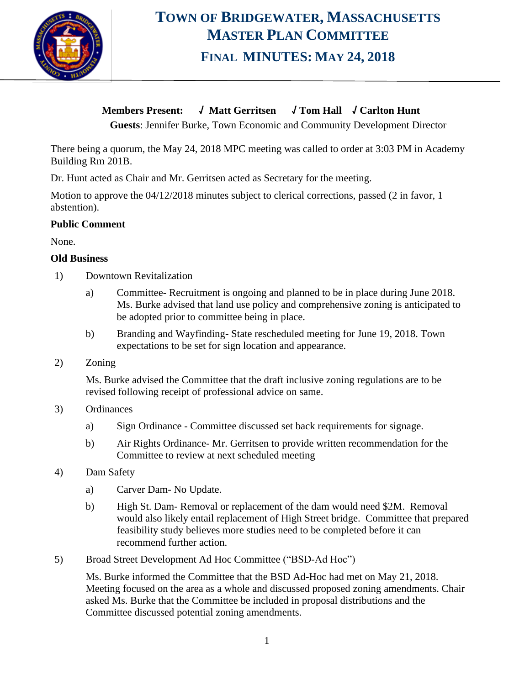

# **TOWN OF BRIDGEWATER, MASSACHUSETTS MASTER PLAN COMMITTEE FINAL MINUTES: MAY 24, 2018**

### **Members Present: √ Matt Gerritsen √ Tom Hall √ Carlton Hunt**

**Guests**: Jennifer Burke, Town Economic and Community Development Director

There being a quorum, the May 24, 2018 MPC meeting was called to order at 3:03 PM in Academy Building Rm 201B.

Dr. Hunt acted as Chair and Mr. Gerritsen acted as Secretary for the meeting.

Motion to approve the 04/12/2018 minutes subject to clerical corrections, passed (2 in favor, 1 abstention).

#### **Public Comment**

None.

#### **Old Business**

- 1) Downtown Revitalization
	- a) Committee- Recruitment is ongoing and planned to be in place during June 2018. Ms. Burke advised that land use policy and comprehensive zoning is anticipated to be adopted prior to committee being in place.
	- b) Branding and Wayfinding- State rescheduled meeting for June 19, 2018. Town expectations to be set for sign location and appearance.
- 2) Zoning

Ms. Burke advised the Committee that the draft inclusive zoning regulations are to be revised following receipt of professional advice on same.

- 3) Ordinances
	- a) Sign Ordinance Committee discussed set back requirements for signage.
	- b) Air Rights Ordinance- Mr. Gerritsen to provide written recommendation for the Committee to review at next scheduled meeting
- 4) Dam Safety
	- a) Carver Dam- No Update.
	- b) High St. Dam- Removal or replacement of the dam would need \$2M. Removal would also likely entail replacement of High Street bridge. Committee that prepared feasibility study believes more studies need to be completed before it can recommend further action.
- 5) Broad Street Development Ad Hoc Committee ("BSD-Ad Hoc")

Ms. Burke informed the Committee that the BSD Ad-Hoc had met on May 21, 2018. Meeting focused on the area as a whole and discussed proposed zoning amendments. Chair asked Ms. Burke that the Committee be included in proposal distributions and the Committee discussed potential zoning amendments.